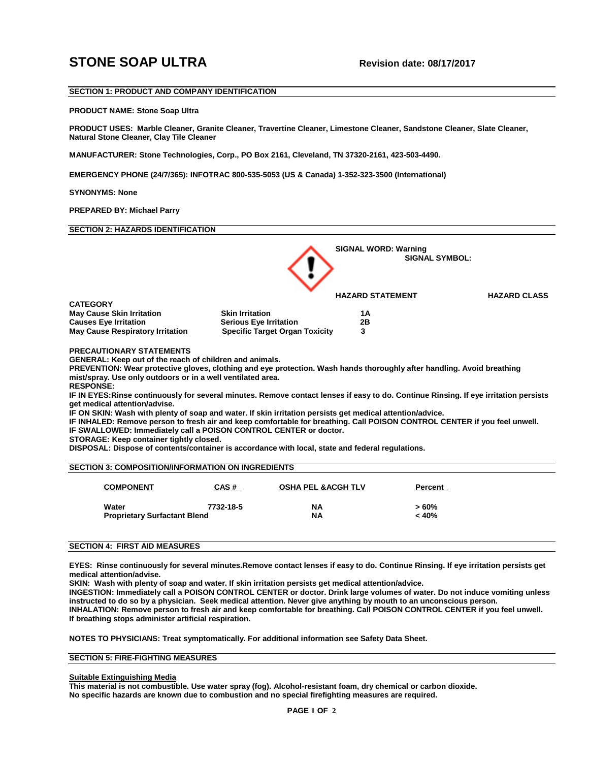# **STONE SOAP ULTRA** Revision date: 08/17/2017

# **SECTION 1: PRODUCT AND COMPANY IDENTIFICATION**

#### **PRODUCT NAME: Stone Soap Ultra**

**PRODUCT USES: Marble Cleaner, Granite Cleaner, Travertine Cleaner, Limestone Cleaner, Sandstone Cleaner, Slate Cleaner, Natural Stone Cleaner, Clay Tile Cleaner** 

**MANUFACTURER: Stone Technologies, Corp., PO Box 2161, Cleveland, TN 37320-2161, 423-503-4490.** 

**EMERGENCY PHONE (24/7/365): INFOTRAC 800-535-5053 (US & Canada) 1-352-323-3500 (International)**

## **SYNONYMS: None**

**PREPARED BY: Michael Parry** 

# **SECTION 2: HAZARDS IDENTIFICATION**



**PRECAUTIONARY STATEMENTS**

**GENERAL: Keep out of the reach of children and animals.** 

**PREVENTION: Wear protective gloves, clothing and eye protection. Wash hands thoroughly after handling. Avoid breathing mist/spray. Use only outdoors or in a well ventilated area.**

**RESPONSE:** 

**IF IN EYES:Rinse continuously for several minutes. Remove contact lenses if easy to do. Continue Rinsing. If eye irritation persists get medical attention/advise.** 

**IF ON SKIN: Wash with plenty of soap and water. If skin irritation persists get medical attention/advice.**

**IF INHALED: Remove person to fresh air and keep comfortable for breathing. Call POISON CONTROL CENTER if you feel unwell.**

**IF SWALLOWED: Immediately call a POISON CONTROL CENTER or doctor.** 

**STORAGE: Keep container tightly closed.**

**DISPOSAL: Dispose of contents/container is accordance with local, state and federal regulations.** 

# **SECTION 3: COMPOSITION/INFORMATION ON INGREDIENTS**

| <b>COMPONENT</b>                    | <u>CAS#</u> | <b>OSHA PEL &amp; ACGH TLV</b> | Percent |
|-------------------------------------|-------------|--------------------------------|---------|
| Water                               | 7732-18-5   | <b>NA</b>                      | $>60\%$ |
| <b>Proprietary Surfactant Blend</b> |             | <b>NA</b>                      | < 40%   |

## **SECTION 4: FIRST AID MEASURES**

**EYES: Rinse continuously for several minutes.Remove contact lenses if easy to do. Continue Rinsing. If eye irritation persists get medical attention/advise.**

**SKIN: Wash with plenty of soap and water. If skin irritation persists get medical attention/advice.**

**INGESTION: Immediately call a POISON CONTROL CENTER or doctor. Drink large volumes of water. Do not induce vomiting unless instructed to do so by a physician. Seek medical attention. Never give anything by mouth to an unconscious person. INHALATION: Remove person to fresh air and keep comfortable for breathing. Call POISON CONTROL CENTER if you feel unwell. If breathing stops administer artificial respiration.**

## **NOTES TO PHYSICIANS: Treat symptomatically. For additional information see Safety Data Sheet.**

# **SECTION 5: FIRE-FIGHTING MEASURES**

#### **Suitable Extinguishing Media**

**This material is not combustible. Use water spray (fog). Alcohol-resistant foam, dry chemical or carbon dioxide. No specific hazards are known due to combustion and no special firefighting measures are required.**